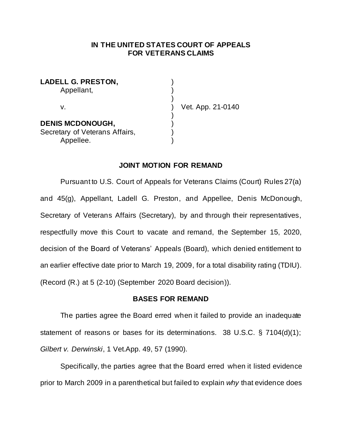## **IN THE UNITED STATES COURT OF APPEALS FOR VETERANS CLAIMS**

| <b>LADELL G. PRESTON,</b>      |  |
|--------------------------------|--|
| Appellant,                     |  |
|                                |  |
| V.                             |  |
| <b>DENIS MCDONOUGH,</b>        |  |
| Secretary of Veterans Affairs, |  |
| Appellee.                      |  |

t. App. 21-0140

### **JOINT MOTION FOR REMAND**

Pursuant to U.S. Court of Appeals for Veterans Claims (Court) Rules 27(a) and 45(g), Appellant, Ladell G. Preston, and Appellee, Denis McDonough, Secretary of Veterans Affairs (Secretary), by and through their representatives, respectfully move this Court to vacate and remand, the September 15, 2020, decision of the Board of Veterans' Appeals (Board), which denied entitlement to an earlier effective date prior to March 19, 2009, for a total disability rating (TDIU). (Record (R.) at 5 (2-10) (September 2020 Board decision)).

### **BASES FOR REMAND**

The parties agree the Board erred when it failed to provide an inadequate statement of reasons or bases for its determinations. 38 U.S.C. § 7104(d)(1); *Gilbert v. Derwinski*, 1 Vet.App. 49, 57 (1990).

Specifically, the parties agree that the Board erred when it listed evidence prior to March 2009 in a parenthetical but failed to explain *why* that evidence does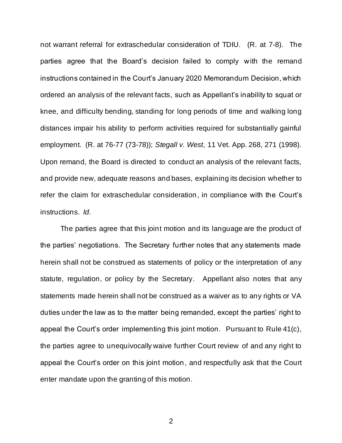not warrant referral for extraschedular consideration of TDIU. (R. at 7-8). The parties agree that the Board's decision failed to comply with the remand instructions contained in the Court's January 2020 Memorandum Decision, which ordered an analysis of the relevant facts, such as Appellant's inability to squat or knee, and difficulty bending, standing for long periods of time and walking long distances impair his ability to perform activities required for substantially gainful employment. (R. at 76-77 (73-78)); *Stegall v. West*, 11 Vet. App. 268, 271 (1998). Upon remand, the Board is directed to conduct an analysis of the relevant facts, and provide new, adequate reasons and bases, explaining its decision whether to refer the claim for extraschedular consideration, in compliance with the Court's instructions. *Id*.

The parties agree that this joint motion and its language are the product of the parties' negotiations. The Secretary further notes that any statements made herein shall not be construed as statements of policy or the interpretation of any statute, regulation, or policy by the Secretary. Appellant also notes that any statements made herein shall not be construed as a waiver as to any rights or VA duties under the law as to the matter being remanded, except the parties' right to appeal the Court's order implementing this joint motion. Pursuant to Rule 41(c), the parties agree to unequivocally waive further Court review of and any right to appeal the Court's order on this joint motion, and respectfully ask that the Court enter mandate upon the granting of this motion.

2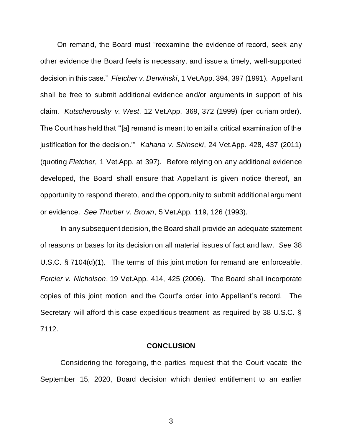On remand, the Board must "reexamine the evidence of record, seek any other evidence the Board feels is necessary, and issue a timely, well-supported decision in this case." *Fletcher v. Derwinski*, 1 Vet.App. 394, 397 (1991). Appellant shall be free to submit additional evidence and/or arguments in support of his claim. *Kutscherousky v. West*, 12 Vet.App. 369, 372 (1999) (per curiam order). The Court has held that "'[a] remand is meant to entail a critical examination of the justification for the decision.'" *Kahana v. Shinseki*, 24 Vet.App. 428, 437 (2011) (quoting *Fletcher*, 1 Vet.App. at 397). Before relying on any additional evidence developed, the Board shall ensure that Appellant is given notice thereof, an opportunity to respond thereto, and the opportunity to submit additional argument or evidence. *See Thurber v. Brown*, 5 Vet.App. 119, 126 (1993).

In any subsequent decision, the Board shall provide an adequate statement of reasons or bases for its decision on all material issues of fact and law. *See* 38 U.S.C. § 7104(d)(1). The terms of this joint motion for remand are enforceable. *Forcier v. Nicholson*, 19 Vet.App. 414, 425 (2006). The Board shall incorporate copies of this joint motion and the Court's order into Appellant's record. The Secretary will afford this case expeditious treatment as required by 38 U.S.C. § 7112.

#### **CONCLUSION**

Considering the foregoing, the parties request that the Court vacate the September 15, 2020, Board decision which denied entitlement to an earlier

3